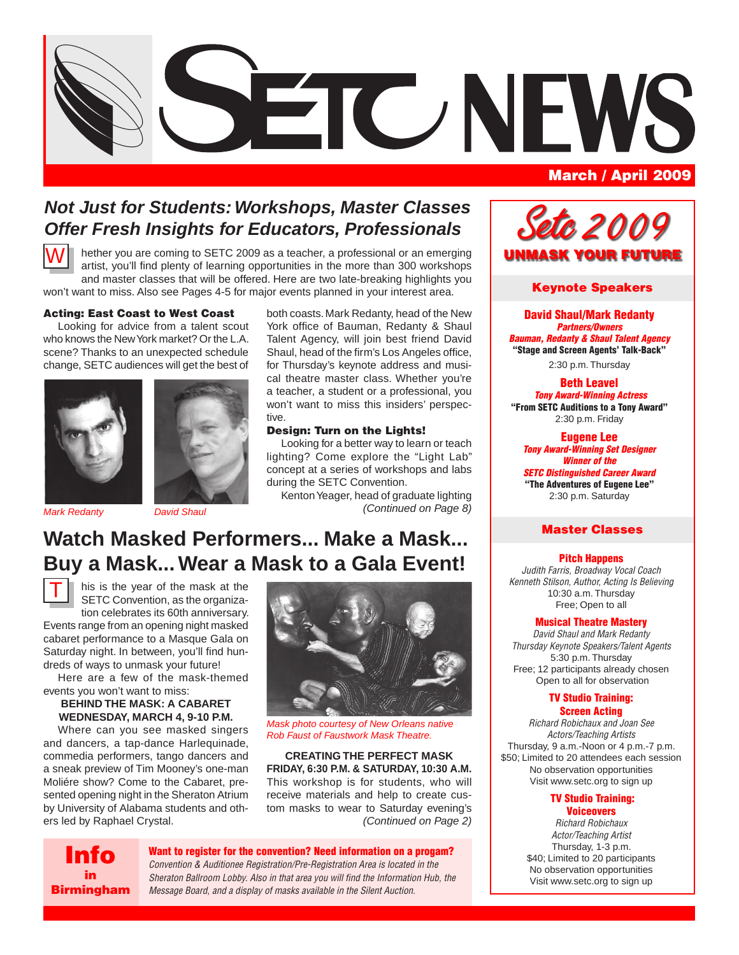

# *Not Just for Students: Workshops, Master Classes Offer Fresh Insights for Educators, Professionals*

tive.

hether you are coming to SETC 2009 as a teacher, a professional or an emerging artist, you'll find plenty of learning opportunities in the more than 300 workshops and master classes that will be offered. Here are two late-breaking highlights you won't want to miss. Also see Pages 4-5 for major events planned in your interest area. W

### Acting: East Coast to West Coast

Looking for advice from a talent scout who knows the New York market? Or the L.A. scene? Thanks to an unexpected schedule change, SETC audiences will get the best of





*Mark Redanty David Shaul (Continued on Page 8)*

**Watch Masked Performers... Make a Mask... Buy a Mask... Wear a Mask to a Gala Event!**



his is the year of the mask at the SETC Convention, as the organization celebrates its 60th anniversary.

Events range from an opening night masked cabaret performance to a Masque Gala on Saturday night. In between, you'll find hundreds of ways to unmask your future!

Here are a few of the mask-themed events you won't want to miss:

### **BEHIND THE MASK: A CABARET WEDNESDAY, MARCH 4, 9-10 P.M.**

Where can you see masked singers and dancers, a tap-dance Harlequinade, commedia performers, tango dancers and a sneak preview of Tim Mooney's one-man Moliére show? Come to the Cabaret, presented opening night in the Sheraton Atrium by University of Alabama students and others led by Raphael Crystal.



Looking for a better way to learn or teach lighting? Come explore the "Light Lab" concept at a series of workshops and labs

both coasts. Mark Redanty, head of the New York office of Bauman, Redanty & Shaul Talent Agency, will join best friend David Shaul, head of the firm's Los Angeles office, for Thursday's keynote address and musical theatre master class. Whether you're a teacher, a student or a professional, you won't want to miss this insiders' perspec-

Kenton Yeager, head of graduate lighting

during the SETC Convention.

Design: Turn on the Lights!

*Mask photo courtesy of New Orleans native Rob Faust of Faustwork Mask Theatre.*

### **CREATING THE PERFECT MASK FRIDAY, 6:30 P.M. & SATURDAY, 10:30 A.M.** This workshop is for students, who will

receive materials and help to create custom masks to wear to Saturday evening's *(Continued on Page 2)*



Want to register for the convention? Need information on a progam? *Message Board, and a display of masks available in the Silent Auction.*

# *Setc 2 0 0 9* UNMASK YOUR FUTURE

### Keynote Speakers

David Shaul/Mark Redanty *Partners/Owners Bauman, Redanty & Shaul Talent Agency* "Stage and Screen Agents' Talk-Back" 2:30 p.m. Thursday

#### Beth Leavel  *Tony Award-Winning Actress* "From SETC Auditions to a Tony Award" 2:30 p.m. Friday

Eugene Lee *Tony Award-Winning Set Designer Winner of the SETC Distinguished Career Award* "The Adventures of Eugene Lee" 2:30 p.m. Saturday

### Master Classes

### Pitch Happens

*Judith Farris, Broadway Vocal Coach Kenneth Stilson, Author, Acting Is Believing* 10:30 a.m. Thursday Free; Open to all

#### Musical Theatre Mastery

*David Shaul and Mark Redanty Thursday Keynote Speakers/Talent Agents* 5:30 p.m. Thursday Free; 12 participants already chosen Open to all for observation

#### TV Studio Training: Screen Acting

*Richard Robichaux and Joan See Actors/Teaching Artists* Thursday, 9 a.m.-Noon or 4 p.m.-7 p.m. \$50; Limited to 20 attendees each session No observation opportunities Visit www.setc.org to sign up

### TV Studio Training:

**Voiceovers** *Richard Robichaux Actor/Teaching Artist* Thursday, 1-3 p.m. \$40; Limited to 20 participants No observation opportunities Visit www.setc.org to sign up

*Convention & Auditionee Registration/Pre-Registration Area is located in the Sheraton Ballroom Lobby. Also in that area you will find the Information Hub, the*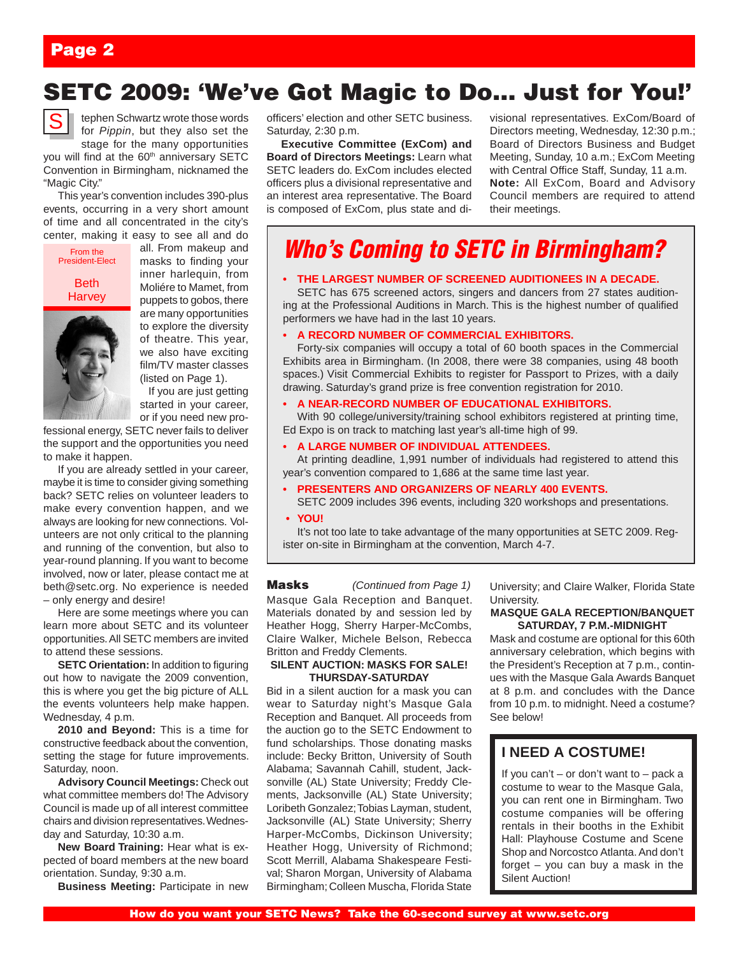# SETC 2009: 'We've Got Magic to Do… Just for You!'



tephen Schwartz wrote those words for *Pippin*, but they also set the stage for the many opportunities

you will find at the 60<sup>th</sup> anniversary SETC Convention in Birmingham, nicknamed the "Magic City."

This year's convention includes 390-plus events, occurring in a very short amount of time and all concentrated in the city's center, making it easy to see all and do



all. From makeup and masks to finding your inner harlequin, from Moliére to Mamet, from puppets to gobos, there are many opportunities to explore the diversity of theatre. This year, we also have exciting film/TV master classes (listed on Page 1).

 If you are just getting started in your career, or if you need new pro-

fessional energy, SETC never fails to deliver the support and the opportunities you need to make it happen.

If you are already settled in your career, maybe it is time to consider giving something back? SETC relies on volunteer leaders to make every convention happen, and we always are looking for new connections. Volunteers are not only critical to the planning and running of the convention, but also to year-round planning. If you want to become involved, now or later, please contact me at beth@setc.org. No experience is needed – only energy and desire!

Here are some meetings where you can learn more about SETC and its volunteer opportunities. All SETC members are invited to attend these sessions.

**SETC Orientation:** In addition to figuring out how to navigate the 2009 convention, this is where you get the big picture of ALL the events volunteers help make happen. Wednesday, 4 p.m.

**2010 and Beyond:** This is a time for constructive feedback about the convention, setting the stage for future improvements. Saturday, noon.

**Advisory Council Meetings:** Check out what committee members do! The Advisory Council is made up of all interest committee chairs and division representatives. Wednesday and Saturday, 10:30 a.m.

**New Board Training:** Hear what is expected of board members at the new board orientation. Sunday, 9:30 a.m.

**Business Meeting:** Participate in new

officers' election and other SETC business. Saturday, 2:30 p.m.

**Executive Committee (ExCom) and Board of Directors Meetings:** Learn what SETC leaders do. ExCom includes elected officers plus a divisional representative and an interest area representative. The Board is composed of ExCom, plus state and divisional representatives. ExCom/Board of Directors meeting, Wednesday, 12:30 p.m.; Board of Directors Business and Budget Meeting, Sunday, 10 a.m.; ExCom Meeting with Central Office Staff, Sunday, 11 a.m. **Note:** All ExCom, Board and Advisory Council members are required to attend their meetings.

# *Who's Coming to SETC in Birmingham?*

### **• THE LARGEST NUMBER OF SCREENED AUDITIONEES IN A DECADE.**

SETC has 675 screened actors, singers and dancers from 27 states auditioning at the Professional Auditions in March. This is the highest number of qualified performers we have had in the last 10 years.

#### **• A RECORD NUMBER OF COMMERCIAL EXHIBITORS.**

Forty-six companies will occupy a total of 60 booth spaces in the Commercial Exhibits area in Birmingham. (In 2008, there were 38 companies, using 48 booth spaces.) Visit Commercial Exhibits to register for Passport to Prizes, with a daily drawing. Saturday's grand prize is free convention registration for 2010.

### **• A NEAR-RECORD NUMBER OF EDUCATIONAL EXHIBITORS.**

With 90 college/university/training school exhibitors registered at printing time, Ed Expo is on track to matching last year's all-time high of 99.

### **• A LARGE NUMBER OF INDIVIDUAL ATTENDEES.**

At printing deadline, 1,991 number of individuals had registered to attend this year's convention compared to 1,686 at the same time last year.

**• PRESENTERS AND ORGANIZERS OF NEARLY 400 EVENTS.**

SETC 2009 includes 396 events, including 320 workshops and presentations. **• YOU!** 

It's not too late to take advantage of the many opportunities at SETC 2009. Register on-site in Birmingham at the convention, March 4-7.

Masque Gala Reception and Banquet. Materials donated by and session led by Heather Hogg, Sherry Harper-McCombs, Claire Walker, Michele Belson, Rebecca Britton and Freddy Clements. Masks *(Continued from Page 1)*

### **SILENT AUCTION: MASKS FOR SALE! THURSDAY-SATURDAY**

Bid in a silent auction for a mask you can wear to Saturday night's Masque Gala Reception and Banquet. All proceeds from the auction go to the SETC Endowment to fund scholarships. Those donating masks include: Becky Britton, University of South Alabama; Savannah Cahill, student, Jacksonville (AL) State University; Freddy Clements, Jacksonville (AL) State University; Loribeth Gonzalez; Tobias Layman, student, Jacksonville (AL) State University; Sherry Harper-McCombs, Dickinson University; Heather Hogg, University of Richmond; Scott Merrill, Alabama Shakespeare Festival; Sharon Morgan, University of Alabama Birmingham; Colleen Muscha, Florida State

University; and Claire Walker, Florida State **University** 

#### **MASQUE GALA RECEPTION/BANQUET SATURDAY, 7 P.M.-MIDNIGHT**

Mask and costume are optional for this 60th anniversary celebration, which begins with the President's Reception at 7 p.m., continues with the Masque Gala Awards Banquet at 8 p.m. and concludes with the Dance from 10 p.m. to midnight. Need a costume? See below!

### **I NEED A COSTUME!**

If you can't – or don't want to – pack a costume to wear to the Masque Gala, you can rent one in Birmingham. Two costume companies will be offering rentals in their booths in the Exhibit Hall: Playhouse Costume and Scene Shop and Norcostco Atlanta. And don't forget – you can buy a mask in the Silent Auction!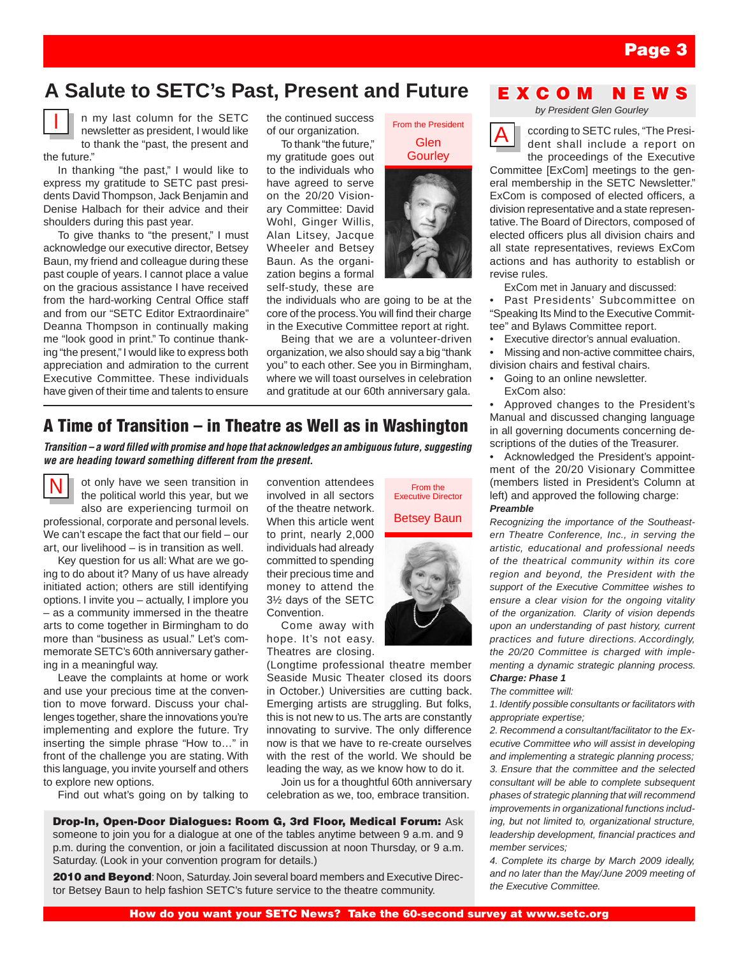# **A Salute to SETC's Past, Present and Future**



n my last column for the SETC newsletter as president, I would like to thank the "past, the present and the future."

In thanking "the past," I would like to express my gratitude to SETC past presidents David Thompson, Jack Benjamin and Denise Halbach for their advice and their shoulders during this past year.

To give thanks to "the present," I must acknowledge our executive director, Betsey Baun, my friend and colleague during these past couple of years. I cannot place a value on the gracious assistance I have received from the hard-working Central Office staff and from our "SETC Editor Extraordinaire" Deanna Thompson in continually making me "look good in print." To continue thanking "the present," I would like to express both appreciation and admiration to the current Executive Committee. These individuals have given of their time and talents to ensure the continued success of our organization.

To thank "the future," my gratitude goes out to the individuals who have agreed to serve on the 20/20 Visionary Committee: David Wohl, Ginger Willis, Alan Litsey, Jacque Wheeler and Betsey Baun. As the organization begins a formal self-study, these are

the individuals who are going to be at the core of the process. You will find their charge in the Executive Committee report at right.

Being that we are a volunteer-driven organization, we also should say a big "thank you" to each other. See you in Birmingham, where we will toast ourselves in celebration and gratitude at our 60th anniversary gala.

### A Time of Transition – in Theatre as Well as in Washington

*Transition – a word filled with promise and hope that acknowledges an ambiguous future, suggesting we are heading toward something different from the present.*



ot only have we seen transition in the political world this year, but we also are experiencing turmoil on

professional, corporate and personal levels. We can't escape the fact that our field – our art, our livelihood – is in transition as well.

Key question for us all: What are we going to do about it? Many of us have already initiated action; others are still identifying options. I invite you – actually, I implore you – as a community immersed in the theatre arts to come together in Birmingham to do more than "business as usual." Let's commemorate SETC's 60th anniversary gathering in a meaningful way.

Leave the complaints at home or work and use your precious time at the convention to move forward. Discuss your challenges together, share the innovations you're implementing and explore the future. Try inserting the simple phrase "How to…" in front of the challenge you are stating. With this language, you invite yourself and others to explore new options.

Find out what's going on by talking to

convention attendees involved in all sectors of the theatre network. When this article went to print, nearly 2,000 individuals had already committed to spending their precious time and money to attend the 3½ days of the SETC Convention.

Come away with hope. It's not easy. Theatres are closing.

(Longtime professional theatre member Seaside Music Theater closed its doors in October.) Universities are cutting back. Emerging artists are struggling. But folks, this is not new to us. The arts are constantly innovating to survive. The only difference now is that we have to re-create ourselves with the rest of the world. We should be leading the way, as we know how to do it.

Join us for a thoughtful 60th anniversary celebration as we, too, embrace transition.

Drop-In, Open-Door Dialogues: Room G, 3rd Floor, Medical Forum: Ask someone to join you for a dialogue at one of the tables anytime between 9 a.m. and 9 p.m. during the convention, or join a facilitated discussion at noon Thursday, or 9 a.m. Saturday. (Look in your convention program for details.)

2010 and Beyond: Noon, Saturday. Join several board members and Executive Director Betsey Baun to help fashion SETC's future service to the theatre community.

### E X C O M N

*by President Glen Gourley*



From the President Glen **Gourley** 

From the Executive Director Betsey Baun ccording to SETC rules, "The President shall include a report on the proceedings of the Executive

Committee [ExCom] meetings to the general membership in the SETC Newsletter." ExCom is composed of elected officers, a division representative and a state representative. The Board of Directors, composed of elected officers plus all division chairs and all state representatives, reviews ExCom actions and has authority to establish or revise rules.

ExCom met in January and discussed:

• Past Presidents' Subcommittee on "Speaking Its Mind to the Executive Committee" and Bylaws Committee report.

Executive director's annual evaluation. •

Missing and non-active committee chairs, division chairs and festival chairs. •

Going to an online newsletter. ExCom also: •

• Approved changes to the President's Manual and discussed changing language in all governing documents concerning descriptions of the duties of the Treasurer.

• Acknowledged the President's appointment of the 20/20 Visionary Committee (members listed in President's Column at left) and approved the following charge: *Preamble*

*Recognizing the importance of the Southeastern Theatre Conference, Inc., in serving the artistic, educational and professional needs of the theatrical community within its core region and beyond, the President with the support of the Executive Committee wishes to ensure a clear vision for the ongoing vitality of the organization. Clarity of vision depends upon an understanding of past history, current practices and future directions. Accordingly, the 20/20 Committee is charged with implementing a dynamic strategic planning process. Charge: Phase 1*

#### *The committee will:*

*1. Identify possible consultants or facilitators with appropriate expertise;*

*2. Recommend a consultant/facilitator to the Executive Committee who will assist in developing and implementing a strategic planning process; 3. Ensure that the committee and the selected consultant will be able to complete subsequent phases of strategic planning that will recommend improvements in organizational functions including, but not limited to, organizational structure, leadership development, financial practices and member services;*

*4. Complete its charge by March 2009 ideally, and no later than the May/June 2009 meeting of the Executive Committee.*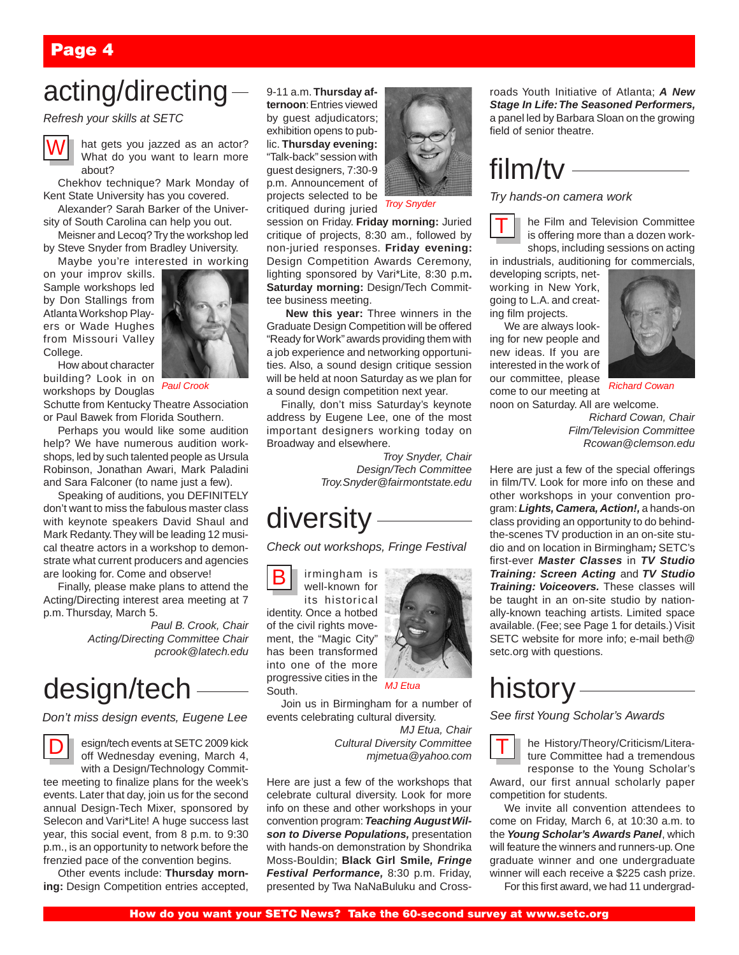# acting/directing

*Refresh your skills at SETC* 



hat gets you jazzed as an actor? What do you want to learn more about?

Chekhov technique? Mark Monday of Kent State University has you covered.

Alexander? Sarah Barker of the University of South Carolina can help you out.

Meisner and Lecoq? Try the workshop led by Steve Snyder from Bradley University.

Maybe you're interested in working

on your improv skills. Sample workshops led by Don Stallings from Atlanta Workshop Players or Wade Hughes from Missouri Valley College.



How about character building? Look in on workshops by Douglas

Schutte from Kentucky Theatre Association or Paul Bawek from Florida Southern.

Perhaps you would like some audition help? We have numerous audition workshops, led by such talented people as Ursula Robinson, Jonathan Awari, Mark Paladini and Sara Falconer (to name just a few).

Speaking of auditions, you DEFINITELY don't want to miss the fabulous master class with keynote speakers David Shaul and Mark Redanty. They will be leading 12 musical theatre actors in a workshop to demonstrate what current producers and agencies are looking for. Come and observe!

Finally, please make plans to attend the Acting/Directing interest area meeting at 7 p.m. Thursday, March 5.

> *Paul B. Crook, Chair Acting/Directing Committee Chair pcrook@latech.edu*

# design/tech

*Don't miss design events, Eugene Lee*



esign/tech events at SETC 2009 kick off Wednesday evening, March 4,

with a Design/Technology Committee meeting to finalize plans for the week's events. Later that day, join us for the second annual Design-Tech Mixer, sponsored by Selecon and Vari\*Lite! A huge success last year, this social event, from 8 p.m. to 9:30 p.m., is an opportunity to network before the frenzied pace of the convention begins.

Other events include: **Thursday morning:** Design Competition entries accepted, 9-11 a.m. **Thursday afternoon**: Entries viewed by guest adjudicators; exhibition opens to public. **Thursday evening:** "Talk-back" session with guest designers, 7:30-9 p.m. Announcement of projects selected to be critiqued during juried



*Troy Snyder* 

session on Friday. **Friday morning:** Juried critique of projects, 8:30 am., followed by non-juried responses. **Friday evening:**  Design Competition Awards Ceremony, lighting sponsored by Vari\*Lite, 8:30 p.m**. Saturday morning:** Design/Tech Committee business meeting.

**New this year:** Three winners in the Graduate Design Competition will be offered "Ready for Work" awards providing them with a job experience and networking opportunities. Also, a sound design critique session will be held at noon Saturday as we plan for a sound design competition next year.

Finally, don't miss Saturday's keynote address by Eugene Lee, one of the most important designers working today on Broadway and elsewhere.

> *Troy Snyder, Chair Design/Tech Committee Troy.Snyder@fairmontstate.edu*

# diversity

*Check out workshops, Fringe Festival*

irmingham is well-known for its historical identity. Once a hotbed of the civil rights movement, the "Magic City" has been transformed into one of the more progressive cities in the South. B



Join us in Birmingham for a number of

events celebrating cultural diversity. *MJ Etua, Chair*

 *Cultural Diversity Committee mjmetua@yahoo.com*

Here are just a few of the workshops that celebrate cultural diversity. Look for more info on these and other workshops in your convention program: *Teaching August Wilson to Diverse Populations,* presentation with hands-on demonstration by Shondrika Moss-Bouldin; **Black Girl Smile***, Fringe Festival Performance,* 8:30 p.m. Friday, presented by Twa NaNaBuluku and Crossroads Youth Initiative of Atlanta; *A New Stage In Life: The Seasoned Performers,*  a panel led by Barbara Sloan on the growing field of senior theatre.

# $film/tv$  —

*Try hands-on camera work*

he Film and Television Committee is offering more than a dozen workshops, including sessions on acting T

in industrials, auditioning for commercials,

developing scripts, networking in New York, going to L.A. and creating film projects.

We are always looking for new people and new ideas. If you are interested in the work of our committee, please come to our meeting at noon on Saturday. All are welcome.



*Richard Cowan*

*Richard Cowan, Chair Film/Television Committee Rcowan@clemson.edu*

Here are just a few of the special offerings in film/TV. Look for more info on these and other workshops in your convention program: *Lights, Camera, Action!,* a hands-on class providing an opportunity to do behindthe-scenes TV production in an on-site studio and on location in Birmingham*;* SETC's first-ever *Master Classes* in *TV Studio Training: Screen Acting* and *TV Studio Training: Voiceovers.* These classes will be taught in an on-site studio by nationally-known teaching artists. Limited space available. (Fee; see Page 1 for details.) Visit SETC website for more info; e-mail beth@ setc.org with questions.

# history

*See first Young Scholar's Awards*

T he History/Theory/Criticism/Literature Committee had a tremendous response to the Young Scholar's Award, our first annual scholarly paper competition for students.

We invite all convention attendees to come on Friday, March 6, at 10:30 a.m. to the *Young Scholar's Awards Panel*, which will feature the winners and runners-up. One graduate winner and one undergraduate winner will each receive a \$225 cash prize.

For this first award, we had 11 undergrad-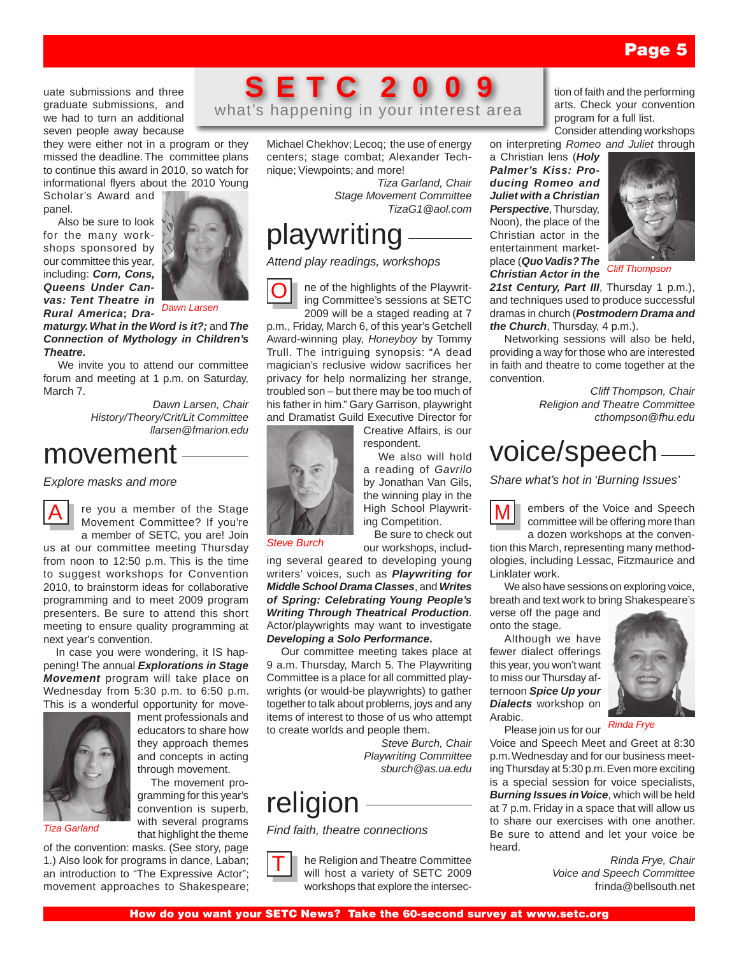uate submissions and three graduate submissions, and we had to turn an additional seven people away because

they were either not in a program or they missed the deadline. The committee plans to continue this award in 2010, so watch for informational flyers about the 2010 Young

Scholar's Award and panel.

Also be sure to look for the many workshops sponsored by our committee this year, including: *Corn, Cons, Queens Under Canvas: Tent Theatre in Rural America***;** *Dra-*



*Dawn Larsen*

*maturgy. What in the Word is it?;* and *The Connection of Mythology in Children's Theatre.*

We invite you to attend our committee forum and meeting at 1 p.m. on Saturday, March 7.

*Dawn Larsen, Chair History/Theory/Crit/Lit Committee llarsen@fmarion.edu*

# movement

*Explore masks and more*



re you a member of the Stage Movement Committee? If you're a member of SETC, you are! Join

us at our committee meeting Thursday from noon to 12:50 p.m. This is the time to suggest workshops for Convention 2010, to brainstorm ideas for collaborative programming and to meet 2009 program presenters. Be sure to attend this short meeting to ensure quality programming at next year's convention.

 In case you were wondering, it IS happening! The annual *Explorations in Stage Movement* program will take place on Wednesday from 5:30 p.m. to 6:50 p.m. This is a wonderful opportunity for move-



ment professionals and educators to share how they approach themes and concepts in acting through movement.

 The movement programming for this year's convention is superb, with several programs that highlight the theme

of the convention: masks. (See story, page 1.) Also look for programs in dance, Laban; an introduction to "The Expressive Actor"; movement approaches to Shakespeare;

# **S E T C 2 0 0 9** what's happening in your interest area

Michael Chekhov; Lecoq; the use of energy centers; stage combat; Alexander Technique; Viewpoints; and more!

> *Tiza Garland, Chair Stage Movement Committee TizaG1@aol.com*

# playwriting

*Attend play readings, workshops*

ne of the highlights of the Playwriting Committee's sessions at SETC 2009 will be a staged reading at 7 O

p.m., Friday, March 6, of this year's Getchell Award-winning play, *Honeyboy* by Tommy Trull. The intriguing synopsis: "A dead magician's reclusive widow sacrifices her privacy for help normalizing her strange, troubled son – but there may be too much of his father in him." Gary Garrison, playwright and Dramatist Guild Executive Director for

Creative Affairs, is our respondent.

 We also will hold a reading of *Gavrilo*  by Jonathan Van Gils,

the winning play in the High School Playwriting Competition.

 Be sure to check out our workshops, includ-

ing several geared to developing young writers' voices, such as *Playwriting for Middle School Drama Classes*, and *Writes of Spring: Celebrating Young People's Writing Through Theatrical Production*. Actor/playwrights may want to investigate *Developing a Solo Performance.*

Our committee meeting takes place at 9 a.m. Thursday, March 5. The Playwriting Committee is a place for all committed playwrights (or would-be playwrights) to gather together to talk about problems, joys and any items of interest to those of us who attempt to create worlds and people them.

> *Steve Burch, Chair Playwriting Committee sburch@as.ua.edu*

# religion

*Steve Burch*

*Find faith, theatre connections*

he Religion and Theatre Committee will host a variety of SETC 2009 workshops that explore the intersec-T

tion of faith and the performing arts. Check your convention program for a full list. Consider attending workshops

on interpreting *Romeo and Juliet* through

a Christian lens (*Holy Palmer's Kiss: Producing Romeo and Juliet with a Christian Perspective*, Thursday, Noon), the place of the Christian actor in the entertainment marketplace (*Quo Vadis? The Christian Actor in the* 



*Cliff Thompson*

21st Century, Part III, Thursday 1 p.m.), and techniques used to produce successful dramas in church (*Postmodern Drama and the Church*, Thursday, 4 p.m.).

Networking sessions will also be held, providing a way for those who are interested in faith and theatre to come together at the convention.

> *Cliff Thompson, Chair Religion and Theatre Committee cthompson@fhu.edu*

# voice/speech

*Share what's hot in 'Burning Issues'*



embers of the Voice and Speech committee will be offering more than a dozen workshops at the conven-

tion this March, representing many methodologies, including Lessac, Fitzmaurice and Linklater work.

We also have sessions on exploring voice, breath and text work to bring Shakespeare's verse off the page and

onto the stage.

Although we have fewer dialect offerings this year, you won't want to miss our Thursday afternoon *Spice Up your Dialects* workshop on Arabic.



Please join us for our

Voice and Speech Meet and Greet at 8:30 p.m. Wednesday and for our business meeting Thursday at 5:30 p.m. Even more exciting is a special session for voice specialists, *Burning Issues in Voice*, which will be held at 7 p.m. Friday in a space that will allow us to share our exercises with one another. Be sure to attend and let your voice be heard.

> *Rinda Frye, Chair Voice and Speech Committee* frinda@bellsouth.net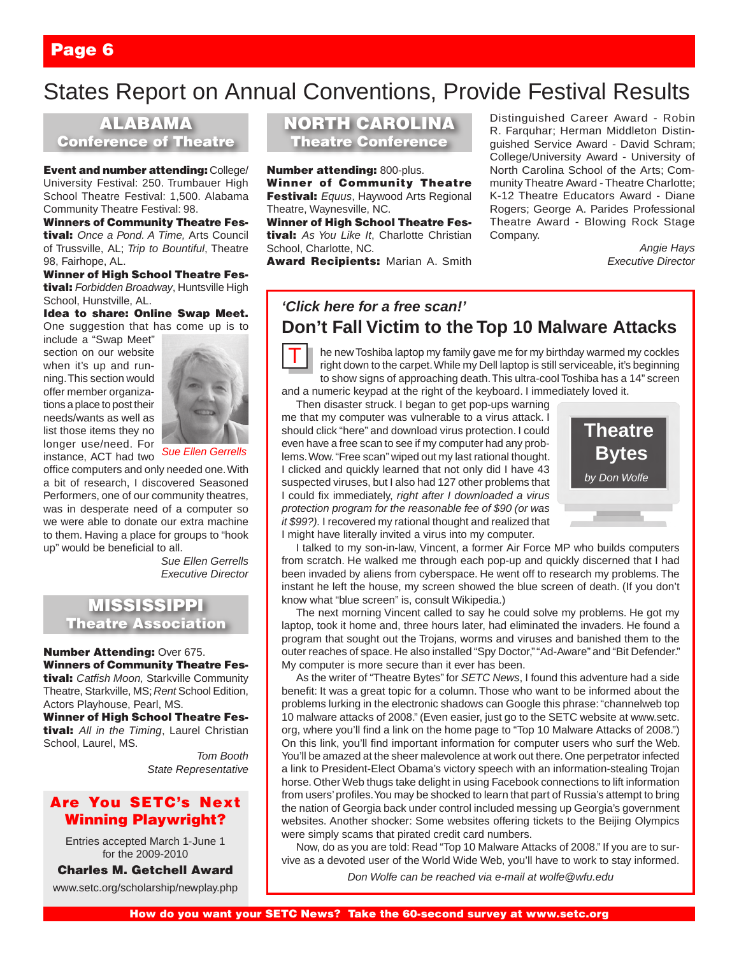# States Report on Annual Conventions, Provide Festival Results

ALABAMA Conference of Theatre

**Event and number attending: College/** University Festival: 250. Trumbauer High School Theatre Festival: 1,500. Alabama Community Theatre Festival: 98.

Winners of Community Theatre Festival: *Once a Pond. A Time,* Arts Council of Trussville, AL; *Trip to Bountiful*, Theatre 98, Fairhope, AL.

Winner of High School Theatre Festival: *Forbidden Broadway*, Huntsville High School, Hunstville, AL.

Idea to share: Online Swap Meet. One suggestion that has come up is to

include a "Swap Meet" section on our website when it's up and running. This section would offer member organizations a place to post their needs/wants as well as list those items they no longer use/need. For instance, ACT had two



*Sue Ellen Gerrells*

office computers and only needed one. With a bit of research, I discovered Seasoned Performers, one of our community theatres, was in desperate need of a computer so we were able to donate our extra machine to them. Having a place for groups to "hook up" would be beneficial to all.

> *Sue Ellen Gerrells Executive Director*

### **MISSISSIPPI** Theatre Association

Number Attending: Over 675. Winners of Community Theatre Festival: *Catfish Moon,* Starkville Community Theatre, Starkville, MS; *Rent* School Edition,

Actors Playhouse, Pearl, MS. Winner of High School Theatre Fes-

tival: *All in the Timing*, Laurel Christian School, Laurel, MS.

*Tom Booth State Representative*

### Are You SETC's Next Winning Playwright?

Entries accepted March 1-June 1 for the 2009-2010

Charles M. Getchell Award

www.setc.org/scholarship/newplay.php

NORTH CAROLINA Theatre Conference

Number attending: 800-plus. Winner of Community Theatre Festival: *Equus*, Haywood Arts Regional Theatre, Waynesville, NC.

Winner of High School Theatre Festival: *As You Like It*, Charlotte Christian School, Charlotte, NC.

Award Recipients: Marian A. Smith

Distinguished Career Award - Robin R. Farquhar; Herman Middleton Distinguished Service Award - David Schram; College/University Award - University of North Carolina School of the Arts; Community Theatre Award - Theatre Charlotte; K-12 Theatre Educators Award - Diane Rogers; George A. Parides Professional Theatre Award - Blowing Rock Stage Company.

> *Angie Hays Executive Director*

# *'Click here for a free scan!'* **Don't Fall Victim to the Top 10 Malware Attacks**



he new Toshiba laptop my family gave me for my birthday warmed my cockles right down to the carpet. While my Dell laptop is still serviceable, it's beginning to show signs of approaching death. This ultra-cool Toshiba has a 14" screen and a numeric keypad at the right of the keyboard. I immediately loved it.

Then disaster struck. I began to get pop-ups warning me that my computer was vulnerable to a virus attack. I

should click "here" and download virus protection. I could even have a free scan to see if my computer had any problems. Wow. "Free scan" wiped out my last rational thought. I clicked and quickly learned that not only did I have 43 suspected viruses, but I also had 127 other problems that I could fix immediately, *right after I downloaded a virus protection program for the reasonable fee of \$90 (or was it \$99?).* I recovered my rational thought and realized that I might have literally invited a virus into my computer.



I talked to my son-in-law, Vincent, a former Air Force MP who builds computers from scratch. He walked me through each pop-up and quickly discerned that I had been invaded by aliens from cyberspace. He went off to research my problems. The instant he left the house, my screen showed the blue screen of death. (If you don't know what "blue screen" is, consult Wikipedia.)

The next morning Vincent called to say he could solve my problems. He got my laptop, took it home and, three hours later, had eliminated the invaders. He found a program that sought out the Trojans, worms and viruses and banished them to the outer reaches of space. He also installed "Spy Doctor," "Ad-Aware" and "Bit Defender." My computer is more secure than it ever has been.

As the writer of "Theatre Bytes" for *SETC News*, I found this adventure had a side benefit: It was a great topic for a column. Those who want to be informed about the problems lurking in the electronic shadows can Google this phrase: "channelweb top 10 malware attacks of 2008." (Even easier, just go to the SETC website at www.setc. org, where you'll find a link on the home page to "Top 10 Malware Attacks of 2008.") On this link, you'll find important information for computer users who surf the Web. You'll be amazed at the sheer malevolence at work out there. One perpetrator infected a link to President-Elect Obama's victory speech with an information-stealing Trojan horse. Other Web thugs take delight in using Facebook connections to lift information from users' profiles. You may be shocked to learn that part of Russia's attempt to bring the nation of Georgia back under control included messing up Georgia's government websites. Another shocker: Some websites offering tickets to the Beijing Olympics were simply scams that pirated credit card numbers.

Now, do as you are told: Read "Top 10 Malware Attacks of 2008." If you are to survive as a devoted user of the World Wide Web, you'll have to work to stay informed.

*Don Wolfe can be reached via e-mail at wolfe@wfu.edu*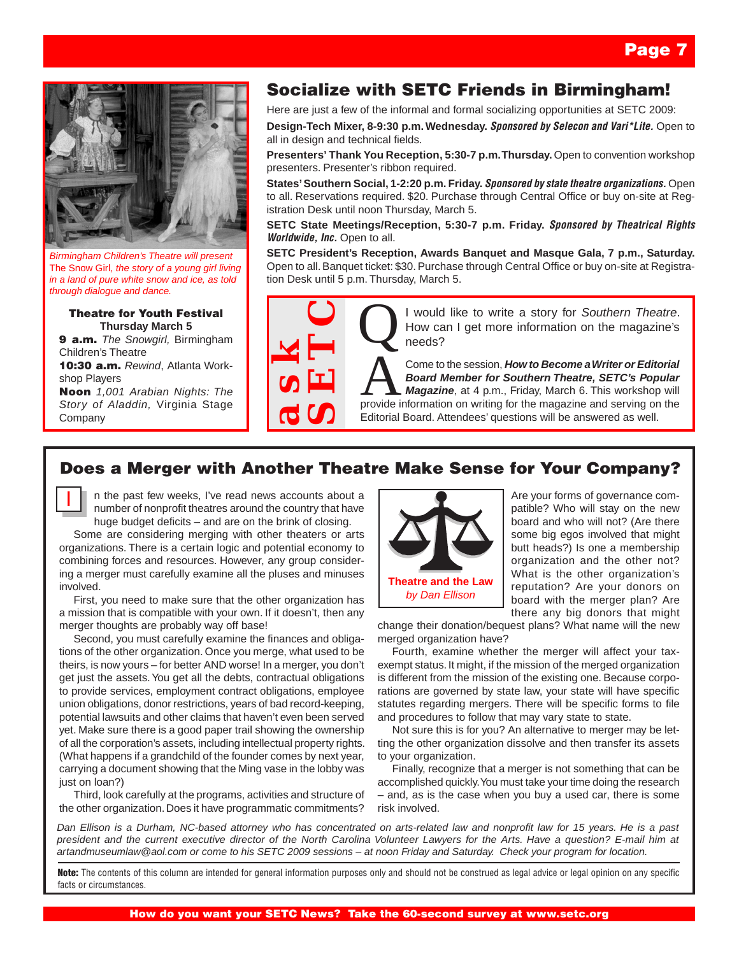

*Birmingham Children's Theatre will present*  The Snow Girl*, the story of a young girl living in a land of pure white snow and ice, as told through dialogue and dance.*

#### Theatre for Youth Festival **Thursday March 5**

9 a.m. *The Snowgirl,* Birmingham Children's Theatre

10:30 a.m. *Rewind*, Atlanta Workshop Players

Noon *1,001 Arabian Nights: The Story of Aladdin,* Virginia Stage Company

I

# Socialize with SETC Friends in Birmingham!

Here are just a few of the informal and formal socializing opportunities at SETC 2009:

**Design-Tech Mixer, 8-9:30 p.m. Wednesday.** *Sponsored by Selecon and Vari\*Lite.* Open to all in design and technical fields.

**Presenters' Thank You Reception, 5:30-7 p.m. Thursday.** Open to convention workshop presenters. Presenter's ribbon required.

**States' Southern Social, 1-2:20 p.m. Friday.** *Sponsored by state theatre organizations.* Open to all. Reservations required. \$20. Purchase through Central Office or buy on-site at Registration Desk until noon Thursday, March 5.

**SETC State Meetings/Reception, 5:30-7 p.m. Friday.** *Sponsored by Theatrical Rights Worldwide, Inc. Open to all.* 

**SETC President's Reception, Awards Banquet and Masque Gala, 7 p.m., Saturday.** Open to all. Banquet ticket: \$30. Purchase through Central Office or buy on-site at Registration Desk until 5 p.m. Thursday, March 5.



How can I get more information on the magazine's needs?

Come to the session, **How to Become a Writer or Editorial**<br>**Board Member for Southern Theatre, SETC's Popular**<br>provide information on writing for the magazine and serving on the FREE **SPACE IS and Member for Southern Theatre.**<br> **SPACE IS and Member for Southern Theatre, SETC's Popular**<br> **EXERC:**<br> **EXERC:**<br> **EXERC:**<br> **EXERC:**<br> **EXERC:**<br> **EXERC:**<br> **EXERC:**<br> **EXERC:**<br> **EXERC:**<br> **EXERC:**<br> **EXERC:**<br> **E** Come to the session, *How to Become a Writer or Editorial Board Member for Southern Theatre, SETC's Popular Magazine*, at 4 p.m., Friday, March 6. This workshop will Editorial Board. Attendees' questions will be answered as well.

### Does a Merger with Another Theatre Make Sense for Your Company?

n the past few weeks, I've read news accounts about a number of nonprofit theatres around the country that have huge budget deficits – and are on the brink of closing.

Some are considering merging with other theaters or arts organizations. There is a certain logic and potential economy to combining forces and resources. However, any group considering a merger must carefully examine all the pluses and minuses involved.

First, you need to make sure that the other organization has a mission that is compatible with your own. If it doesn't, then any merger thoughts are probably way off base!

Second, you must carefully examine the finances and obligations of the other organization. Once you merge, what used to be theirs, is now yours – for better AND worse! In a merger, you don't get just the assets. You get all the debts, contractual obligations to provide services, employment contract obligations, employee union obligations, donor restrictions, years of bad record-keeping, potential lawsuits and other claims that haven't even been served yet. Make sure there is a good paper trail showing the ownership of all the corporation's assets, including intellectual property rights. (What happens if a grandchild of the founder comes by next year, carrying a document showing that the Ming vase in the lobby was just on loan?)

Third, look carefully at the programs, activities and structure of the other organization. Does it have programmatic commitments?



Are your forms of governance compatible? Who will stay on the new board and who will not? (Are there some big egos involved that might butt heads?) Is one a membership organization and the other not? What is the other organization's reputation? Are your donors on board with the merger plan? Are there any big donors that might

change their donation/bequest plans? What name will the new merged organization have?

Fourth, examine whether the merger will affect your taxexempt status. It might, if the mission of the merged organization is different from the mission of the existing one. Because corporations are governed by state law, your state will have specific statutes regarding mergers. There will be specific forms to file and procedures to follow that may vary state to state.

Not sure this is for you? An alternative to merger may be letting the other organization dissolve and then transfer its assets to your organization.

Finally, recognize that a merger is not something that can be accomplished quickly. You must take your time doing the research – and, as is the case when you buy a used car, there is some risk involved.

*Dan Ellison is a Durham, NC-based attorney who has concentrated on arts-related law and nonprofit law for 15 years. He is a past president and the current executive director of the North Carolina Volunteer Lawyers for the Arts. Have a question? E-mail him at artandmuseumlaw@aol.com or come to his SETC 2009 sessions – at noon Friday and Saturday. Check your program for location.*

Note: The contents of this column are intended for general information purposes only and should not be construed as legal advice or legal opinion on any specific facts or circumstances.

#### How do you want your SETC News? Take the 60-second survey at www.setc.org